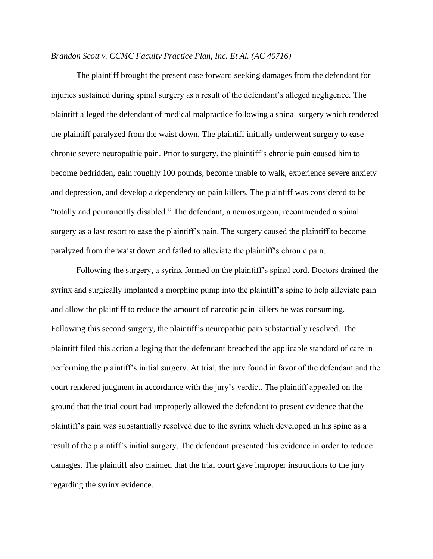## *Brandon Scott v. CCMC Faculty Practice Plan, Inc. Et Al. (AC 40716)*

The plaintiff brought the present case forward seeking damages from the defendant for injuries sustained during spinal surgery as a result of the defendant's alleged negligence. The plaintiff alleged the defendant of medical malpractice following a spinal surgery which rendered the plaintiff paralyzed from the waist down. The plaintiff initially underwent surgery to ease chronic severe neuropathic pain. Prior to surgery, the plaintiff's chronic pain caused him to become bedridden, gain roughly 100 pounds, become unable to walk, experience severe anxiety and depression, and develop a dependency on pain killers. The plaintiff was considered to be "totally and permanently disabled." The defendant, a neurosurgeon, recommended a spinal surgery as a last resort to ease the plaintiff's pain. The surgery caused the plaintiff to become paralyzed from the waist down and failed to alleviate the plaintiff's chronic pain.

Following the surgery, a syrinx formed on the plaintiff's spinal cord. Doctors drained the syrinx and surgically implanted a morphine pump into the plaintiff's spine to help alleviate pain and allow the plaintiff to reduce the amount of narcotic pain killers he was consuming. Following this second surgery, the plaintiff's neuropathic pain substantially resolved. The plaintiff filed this action alleging that the defendant breached the applicable standard of care in performing the plaintiff's initial surgery. At trial, the jury found in favor of the defendant and the court rendered judgment in accordance with the jury's verdict. The plaintiff appealed on the ground that the trial court had improperly allowed the defendant to present evidence that the plaintiff's pain was substantially resolved due to the syrinx which developed in his spine as a result of the plaintiff's initial surgery. The defendant presented this evidence in order to reduce damages. The plaintiff also claimed that the trial court gave improper instructions to the jury regarding the syrinx evidence.